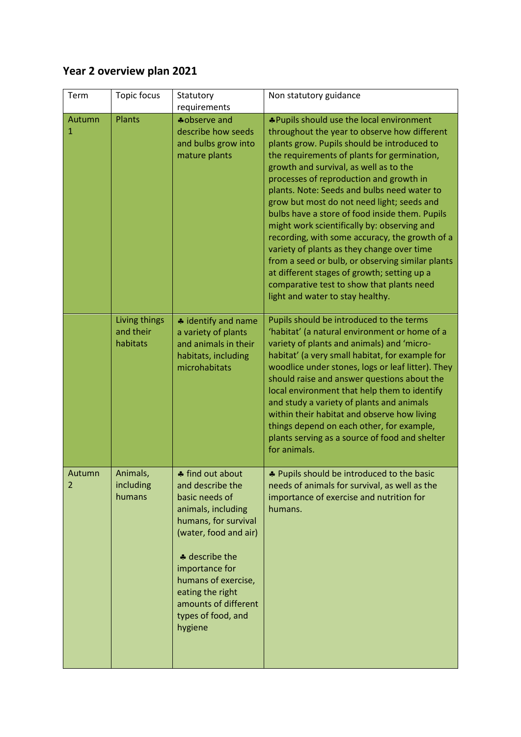## **Year 2 overview plan 2021**

| Term        | Topic focus                            | Statutory<br>requirements                                                                                                                                                                                                                                             | Non statutory guidance                                                                                                                                                                                                                                                                                                                                                                                                                                                                                                                                                                                                                                                                                                                                        |
|-------------|----------------------------------------|-----------------------------------------------------------------------------------------------------------------------------------------------------------------------------------------------------------------------------------------------------------------------|---------------------------------------------------------------------------------------------------------------------------------------------------------------------------------------------------------------------------------------------------------------------------------------------------------------------------------------------------------------------------------------------------------------------------------------------------------------------------------------------------------------------------------------------------------------------------------------------------------------------------------------------------------------------------------------------------------------------------------------------------------------|
| Autumn<br>1 | <b>Plants</b>                          | *observe and<br>describe how seeds<br>and bulbs grow into<br>mature plants                                                                                                                                                                                            | *Pupils should use the local environment<br>throughout the year to observe how different<br>plants grow. Pupils should be introduced to<br>the requirements of plants for germination,<br>growth and survival, as well as to the<br>processes of reproduction and growth in<br>plants. Note: Seeds and bulbs need water to<br>grow but most do not need light; seeds and<br>bulbs have a store of food inside them. Pupils<br>might work scientifically by: observing and<br>recording, with some accuracy, the growth of a<br>variety of plants as they change over time<br>from a seed or bulb, or observing similar plants<br>at different stages of growth; setting up a<br>comparative test to show that plants need<br>light and water to stay healthy. |
|             | Living things<br>and their<br>habitats | * identify and name<br>a variety of plants<br>and animals in their<br>habitats, including<br>microhabitats                                                                                                                                                            | Pupils should be introduced to the terms<br>'habitat' (a natural environment or home of a<br>variety of plants and animals) and 'micro-<br>habitat' (a very small habitat, for example for<br>woodlice under stones, logs or leaf litter). They<br>should raise and answer questions about the<br>local environment that help them to identify<br>and study a variety of plants and animals<br>within their habitat and observe how living<br>things depend on each other, for example,<br>plants serving as a source of food and shelter<br>for animals.                                                                                                                                                                                                     |
| Autumn<br>2 | Animals,<br>including<br>humans        | ♣ find out about<br>and describe the<br>basic needs of<br>animals, including<br>humans, for survival<br>(water, food and air)<br>* describe the<br>importance for<br>humans of exercise,<br>eating the right<br>amounts of different<br>types of food, and<br>hygiene | * Pupils should be introduced to the basic<br>needs of animals for survival, as well as the<br>importance of exercise and nutrition for<br>humans.                                                                                                                                                                                                                                                                                                                                                                                                                                                                                                                                                                                                            |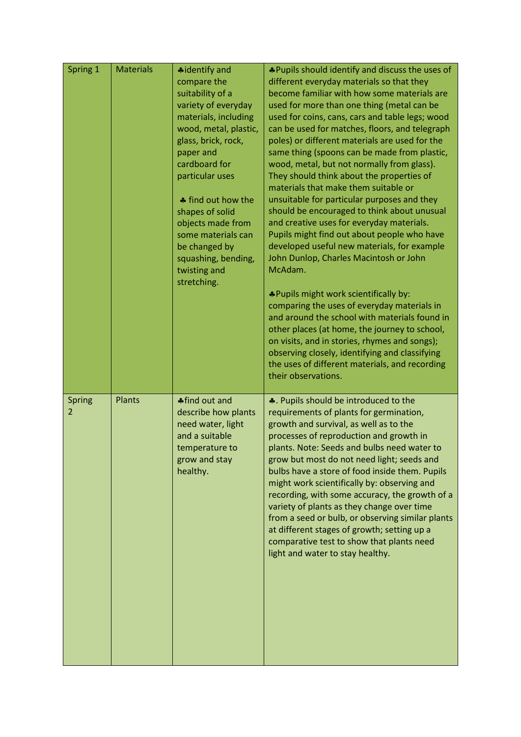| Spring 1    | <b>Materials</b> | <b>*</b> identify and<br>compare the<br>suitability of a<br>variety of everyday<br>materials, including<br>wood, metal, plastic,<br>glass, brick, rock,<br>paper and<br>cardboard for<br>particular uses<br>♣ find out how the<br>shapes of solid<br>objects made from<br>some materials can<br>be changed by<br>squashing, bending,<br>twisting and<br>stretching. | *Pupils should identify and discuss the uses of<br>different everyday materials so that they<br>become familiar with how some materials are<br>used for more than one thing (metal can be<br>used for coins, cans, cars and table legs; wood<br>can be used for matches, floors, and telegraph<br>poles) or different materials are used for the<br>same thing (spoons can be made from plastic,<br>wood, metal, but not normally from glass).<br>They should think about the properties of<br>materials that make them suitable or<br>unsuitable for particular purposes and they<br>should be encouraged to think about unusual<br>and creative uses for everyday materials.<br>Pupils might find out about people who have<br>developed useful new materials, for example<br>John Dunlop, Charles Macintosh or John<br>McAdam.<br>*Pupils might work scientifically by:<br>comparing the uses of everyday materials in<br>and around the school with materials found in<br>other places (at home, the journey to school,<br>on visits, and in stories, rhymes and songs);<br>observing closely, identifying and classifying<br>the uses of different materials, and recording<br>their observations. |
|-------------|------------------|---------------------------------------------------------------------------------------------------------------------------------------------------------------------------------------------------------------------------------------------------------------------------------------------------------------------------------------------------------------------|---------------------------------------------------------------------------------------------------------------------------------------------------------------------------------------------------------------------------------------------------------------------------------------------------------------------------------------------------------------------------------------------------------------------------------------------------------------------------------------------------------------------------------------------------------------------------------------------------------------------------------------------------------------------------------------------------------------------------------------------------------------------------------------------------------------------------------------------------------------------------------------------------------------------------------------------------------------------------------------------------------------------------------------------------------------------------------------------------------------------------------------------------------------------------------------------------------|
| Spring<br>2 | Plants           | ♣ find out and<br>describe how plants<br>need water, light<br>and a suitable<br>temperature to<br>grow and stay<br>healthy.                                                                                                                                                                                                                                         | ♣. Pupils should be introduced to the<br>requirements of plants for germination,<br>growth and survival, as well as to the<br>processes of reproduction and growth in<br>plants. Note: Seeds and bulbs need water to<br>grow but most do not need light; seeds and<br>bulbs have a store of food inside them. Pupils<br>might work scientifically by: observing and<br>recording, with some accuracy, the growth of a<br>variety of plants as they change over time<br>from a seed or bulb, or observing similar plants<br>at different stages of growth; setting up a<br>comparative test to show that plants need<br>light and water to stay healthy.                                                                                                                                                                                                                                                                                                                                                                                                                                                                                                                                                 |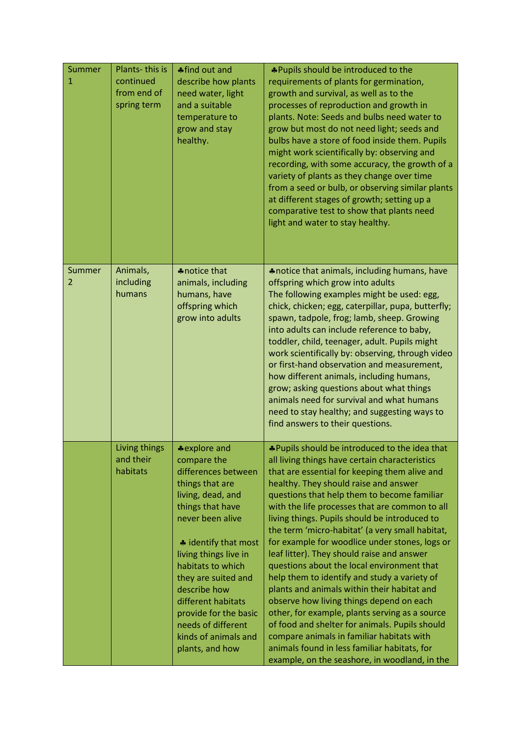| Summer<br>1 | Plants-this is<br>continued<br>from end of<br>spring term | ♣ find out and<br>describe how plants<br>need water, light<br>and a suitable<br>temperature to<br>grow and stay<br>healthy.                                                                                                                                                                                                                                     | *Pupils should be introduced to the<br>requirements of plants for germination,<br>growth and survival, as well as to the<br>processes of reproduction and growth in<br>plants. Note: Seeds and bulbs need water to<br>grow but most do not need light; seeds and<br>bulbs have a store of food inside them. Pupils<br>might work scientifically by: observing and<br>recording, with some accuracy, the growth of a<br>variety of plants as they change over time<br>from a seed or bulb, or observing similar plants<br>at different stages of growth; setting up a<br>comparative test to show that plants need<br>light and water to stay healthy.                                                                                                                                                                                                                                                                                     |
|-------------|-----------------------------------------------------------|-----------------------------------------------------------------------------------------------------------------------------------------------------------------------------------------------------------------------------------------------------------------------------------------------------------------------------------------------------------------|-------------------------------------------------------------------------------------------------------------------------------------------------------------------------------------------------------------------------------------------------------------------------------------------------------------------------------------------------------------------------------------------------------------------------------------------------------------------------------------------------------------------------------------------------------------------------------------------------------------------------------------------------------------------------------------------------------------------------------------------------------------------------------------------------------------------------------------------------------------------------------------------------------------------------------------------|
| Summer<br>2 | Animals,<br>including<br>humans                           | *notice that<br>animals, including<br>humans, have<br>offspring which<br>grow into adults                                                                                                                                                                                                                                                                       | *notice that animals, including humans, have<br>offspring which grow into adults<br>The following examples might be used: egg,<br>chick, chicken; egg, caterpillar, pupa, butterfly;<br>spawn, tadpole, frog; lamb, sheep. Growing<br>into adults can include reference to baby,<br>toddler, child, teenager, adult. Pupils might<br>work scientifically by: observing, through video<br>or first-hand observation and measurement,<br>how different animals, including humans,<br>grow; asking questions about what things<br>animals need for survival and what humans<br>need to stay healthy; and suggesting ways to<br>find answers to their questions.                                                                                                                                                                                                                                                                              |
|             | Living things<br>and their<br>habitats                    | *explore and<br>compare the<br>differences between<br>things that are<br>living, dead, and<br>things that have<br>never been alive<br>* identify that most<br>living things live in<br>habitats to which<br>they are suited and<br>describe how<br>different habitats<br>provide for the basic<br>needs of different<br>kinds of animals and<br>plants, and how | *Pupils should be introduced to the idea that<br>all living things have certain characteristics<br>that are essential for keeping them alive and<br>healthy. They should raise and answer<br>questions that help them to become familiar<br>with the life processes that are common to all<br>living things. Pupils should be introduced to<br>the term 'micro-habitat' (a very small habitat,<br>for example for woodlice under stones, logs or<br>leaf litter). They should raise and answer<br>questions about the local environment that<br>help them to identify and study a variety of<br>plants and animals within their habitat and<br>observe how living things depend on each<br>other, for example, plants serving as a source<br>of food and shelter for animals. Pupils should<br>compare animals in familiar habitats with<br>animals found in less familiar habitats, for<br>example, on the seashore, in woodland, in the |